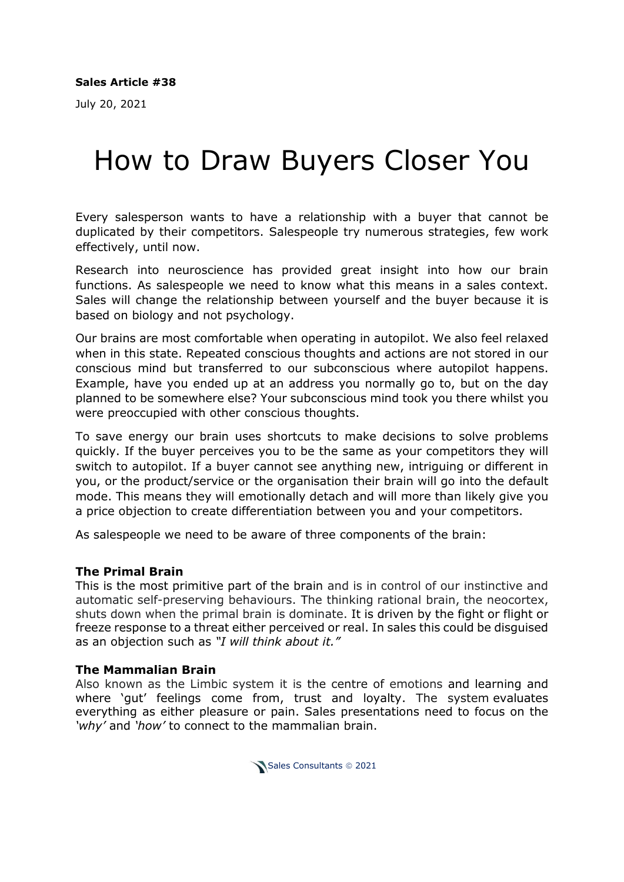July 20, 2021

# How to Draw Buyers Closer You

Every salesperson wants to have a relationship with a buyer that cannot be duplicated by their competitors. Salespeople try numerous strategies, few work effectively, until now.

Research into neuroscience has provided great insight into how our brain functions. As salespeople we need to know what this means in a sales context. Sales will change the relationship between yourself and the buyer because it is based on biology and not psychology.

Our brains are most comfortable when operating in autopilot. We also feel relaxed when in this state. Repeated conscious thoughts and actions are not stored in our conscious mind but transferred to our subconscious where autopilot happens. Example, have you ended up at an address you normally go to, but on the day planned to be somewhere else? Your subconscious mind took you there whilst you were preoccupied with other conscious thoughts.

To save energy our brain uses shortcuts to make decisions to solve problems quickly. If the buyer perceives you to be the same as your competitors they will switch to autopilot. If a buyer cannot see anything new, intriguing or different in you, or the product/service or the organisation their brain will go into the default mode. This means they will emotionally detach and will more than likely give you a price objection to create differentiation between you and your competitors.

As salespeople we need to be aware of three components of the brain:

#### **The Primal Brain**

This is the most primitive part of the brain and is in control of our instinctive and automatic self-preserving behaviours. The thinking rational brain, the neocortex, shuts down when the primal brain is dominate. It is driven by the fight or flight or freeze response to a threat either perceived or real. In sales this could be disguised as an objection such as *"I will think about it."*

#### **The Mammalian Brain**

Also known as the Limbic system it is the centre of emotions and learning and where 'gut' feelings come from, trust and loyalty. The system evaluates everything as either pleasure or pain. Sales presentations need to focus on the *'why'* and *'how'* to connect to the mammalian brain.